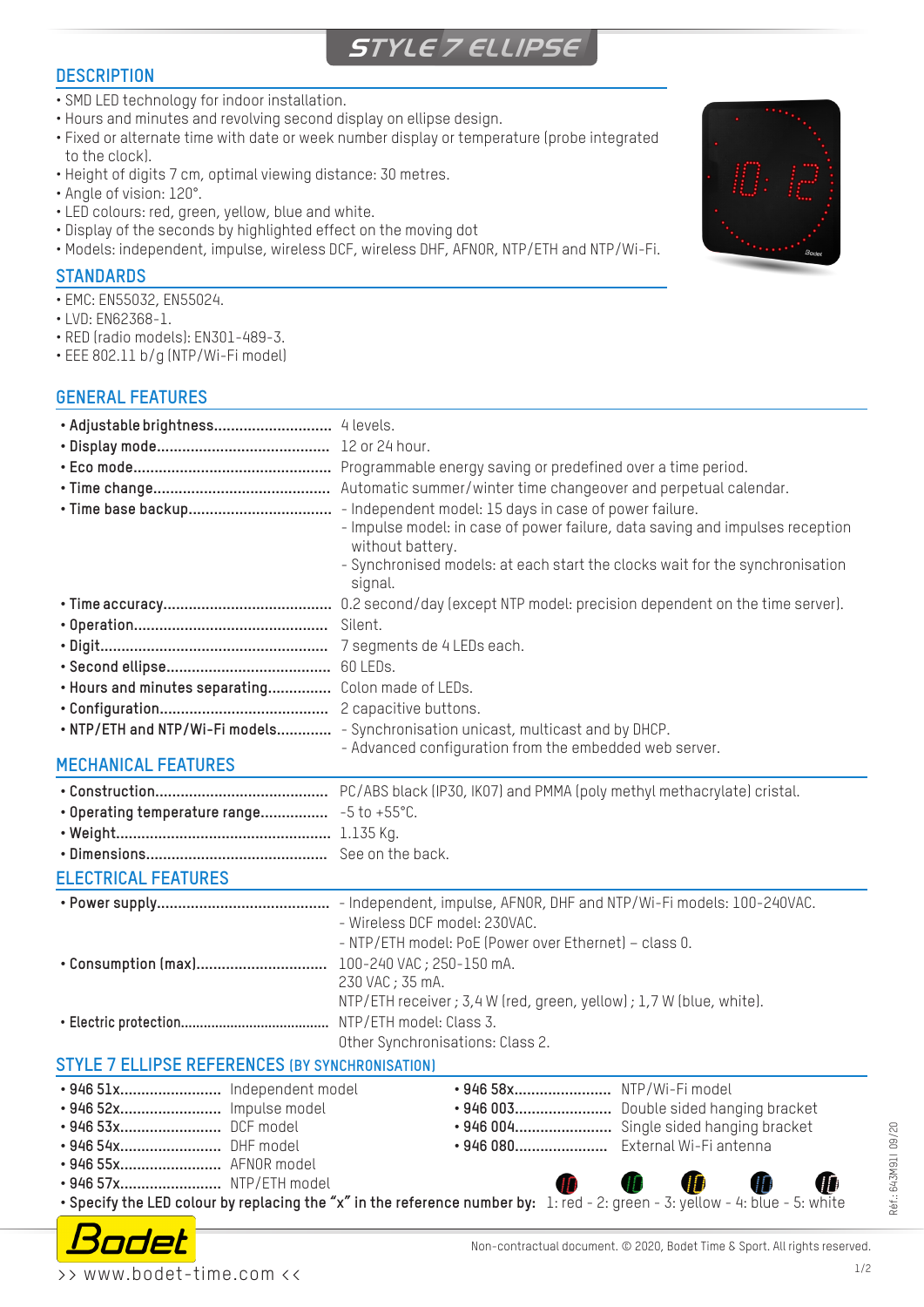# **STYLE 7 ELLIPSE**

#### **DESCRIPTION**

- SMD LED technology for indoor installation.
- Hours and minutes and revolving second display on ellipse design.
- Fixed or alternate time with date or week number display or temperature (probe integrated to the clock).
- Height of digits 7 cm, optimal viewing distance: 30 metres.
- Angle of vision: 120°.
- LED colours: red, green, yellow, blue and white.
- Display of the seconds by highlighted effect on the moving dot
- Models: independent, impulse, wireless DCF, wireless DHF, AFNOR, NTP/ETH and NTP/Wi-Fi.

#### **STANDARDS**

- EMC: EN55032, EN55024.
- LVD: EN62368-1.
- RED (radio models): EN301-489-3.
- EEE 802.11 b/g (NTP/Wi-Fi model)

#### **GENERAL FEATURES**

|                                                        | - Impulse model: in case of power failure, data saving and impulses reception<br>without battery.<br>- Synchronised models: at each start the clocks wait for the synchronisation<br>signal. |
|--------------------------------------------------------|----------------------------------------------------------------------------------------------------------------------------------------------------------------------------------------------|
|                                                        |                                                                                                                                                                                              |
|                                                        | Silent.                                                                                                                                                                                      |
|                                                        |                                                                                                                                                                                              |
|                                                        |                                                                                                                                                                                              |
| . Hours and minutes separating Colon made of LEDs.     |                                                                                                                                                                                              |
|                                                        |                                                                                                                                                                                              |
|                                                        | . NTP/ETH and NTP/Wi-Fi models - Synchronisation unicast, multicast and by DHCP.                                                                                                             |
| <b>MECHANICAL FEATURES</b>                             | - Advanced configuration from the embedded web server.                                                                                                                                       |
|                                                        |                                                                                                                                                                                              |
|                                                        |                                                                                                                                                                                              |
|                                                        |                                                                                                                                                                                              |
|                                                        |                                                                                                                                                                                              |
|                                                        |                                                                                                                                                                                              |
| <b>ELECTRICAL FEATURES</b>                             |                                                                                                                                                                                              |
|                                                        | - Wireless DCF model: 230VAC.<br>- NTP/ETH model: PoE (Power over Ethernet) - class 0.                                                                                                       |
|                                                        | 230 VAC; 35 mA.<br>NTP/ETH receiver ; 3,4 W (red, green, yellow) ; 1,7 W (blue, white).                                                                                                      |
|                                                        | Other Synchronisations: Class 2.                                                                                                                                                             |
| <b>STYLE 7 ELLIPSE REFERENCES (BY SYNCHRONISATION)</b> |                                                                                                                                                                                              |
| · 946 51x Independent model                            | • 946 58x NTP/Wi-Fi model                                                                                                                                                                    |
| • 946 52x Impulse model                                | • 946 003 Double sided hanging bracket                                                                                                                                                       |
| • 946 53x DCF model                                    |                                                                                                                                                                                              |
| • 946 54x DHF model                                    | • 946 080 External Wi-Fi antenna                                                                                                                                                             |
| • 946 55x AFNOR model                                  |                                                                                                                                                                                              |
| • 946 57x NTP/ETH model                                | ID                                                                                                                                                                                           |